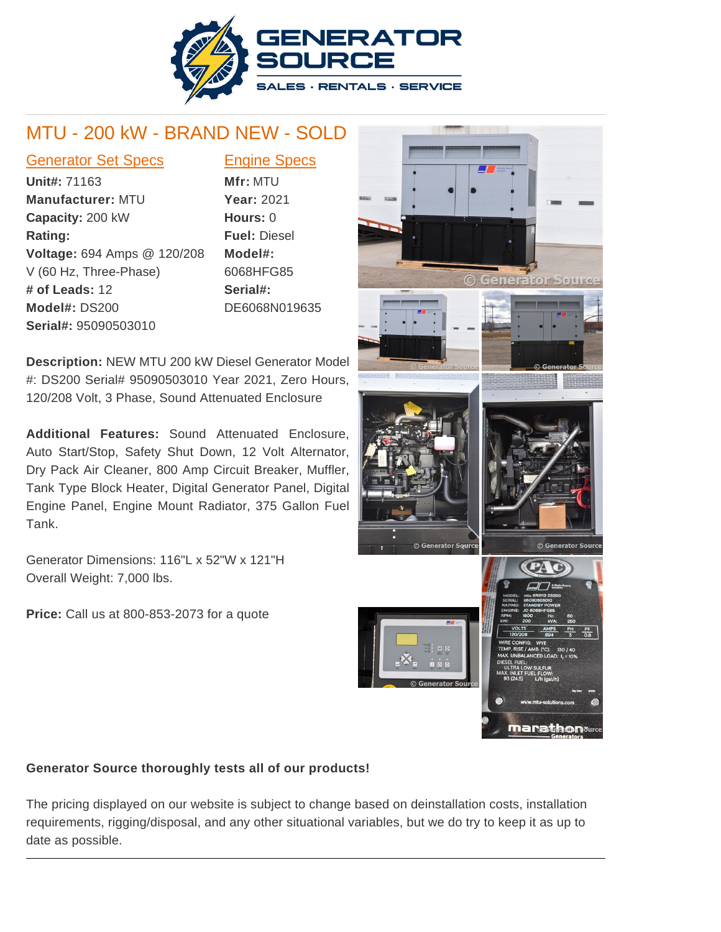

## MTU - 200 kW - BRAND NEW - SOLD

## Generator Set Specs Engine Specs

**Unit#:** 71163 **Manufacturer:** MTU **Capacity:** 200 kW **Rating: Voltage:** 694 Amps @ 120/208 V (60 Hz, Three-Phase) **# of Leads:** 12 **Model#:** DS200 **Serial#:** 95090503010

**Mfr:** MTU **Year:** 2021 **Hours:** 0 **Fuel:** Diesel **Model#:** 6068HFG85 **Serial#:** DE6068N019635

**Description:** NEW MTU 200 kW Diesel Generator Model #: DS200 Serial# 95090503010 Year 2021, Zero Hours, 120/208 Volt, 3 Phase, Sound Attenuated Enclosure

**Additional Features:** Sound Attenuated Enclosure, Auto Start/Stop, Safety Shut Down, 12 Volt Alternator, Dry Pack Air Cleaner, 800 Amp Circuit Breaker, Muffler, Tank Type Block Heater, Digital Generator Panel, Digital Engine Panel, Engine Mount Radiator, 375 Gallon Fuel Tank.

Generator Dimensions: 116"L x 52"W x 121"H Overall Weight: 7,000 lbs.

**Price:** Call us at 800-853-2073 for a quote



## **Generator Source thoroughly tests all of our products!**

The pricing displayed on our website is subject to change based on deinstallation costs, installation requirements, rigging/disposal, and any other situational variables, but we do try to keep it as up to date as possible.